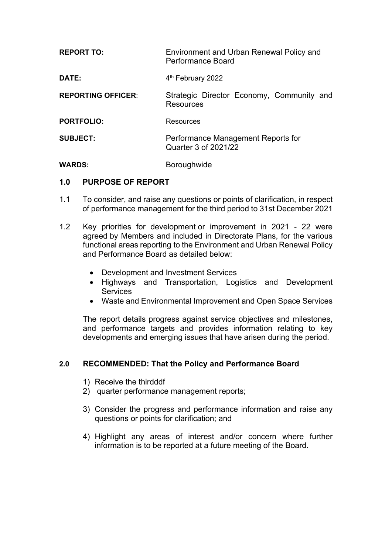| <b>REPORT TO:</b>         | Environment and Urban Renewal Policy and<br>Performance Board |
|---------------------------|---------------------------------------------------------------|
| DATE:                     | 4 <sup>th</sup> February 2022                                 |
| <b>REPORTING OFFICER:</b> | Strategic Director Economy, Community and<br>Resources        |
| <b>PORTFOLIO:</b>         | Resources                                                     |
| <b>SUBJECT:</b>           | Performance Management Reports for<br>Quarter 3 of 2021/22    |
| <b>WARDS:</b>             | <b>Boroughwide</b>                                            |

### **1.0 PURPOSE OF REPORT**

- 1.1 To consider, and raise any questions or points of clarification, in respect of performance management for the third period to 31st December 2021
- 1.2 Key priorities for development or improvement in 2021 22 were agreed by Members and included in Directorate Plans, for the various functional areas reporting to the Environment and Urban Renewal Policy and Performance Board as detailed below:
	- Development and Investment Services
	- Highways and Transportation, Logistics and Development **Services**
	- Waste and Environmental Improvement and Open Space Services

The report details progress against service objectives and milestones, and performance targets and provides information relating to key developments and emerging issues that have arisen during the period.

### **2.0 RECOMMENDED: That the Policy and Performance Board**

- 1) Receive the thirdddf
- 2) quarter performance management reports;
- 3) Consider the progress and performance information and raise any questions or points for clarification; and
- 4) Highlight any areas of interest and/or concern where further information is to be reported at a future meeting of the Board.